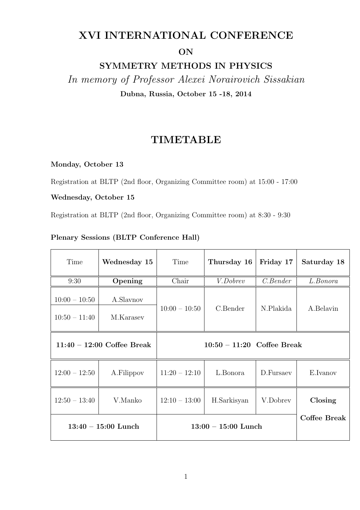## XVI INTERNATIONAL CONFERENCE

ON

SYMMETRY METHODS IN PHYSICS

In memory of Professor Alexei Norairovich Sissakian Dubna, Russia, October 15 -18, 2014

## TIMETABLE

Monday, October 13

Registration at BLTP (2nd floor, Organizing Committee room) at 15:00 - 17:00

## Wednesday, October 15

Registration at BLTP (2nd floor, Organizing Committee room) at 8:30 - 9:30

## Plenary Sessions (BLTP Conference Hall)

| Time                               | Wednesday 15           | Time                         | Thursday 16            | Friday 17 | Saturday 18  |
|------------------------------------|------------------------|------------------------------|------------------------|-----------|--------------|
| 9:30                               | Opening                | Chair                        | $\overline{V.D}$ obrev | C. Bender | L.Bonora     |
| $10:00 - 10:50$<br>$10:50 - 11:40$ | A.Slavnov<br>M.Karasev | $10:00 - 10:50$              | C.Bender               | N.Plakida | A.Belavin    |
| $11:40 - 12:00$ Coffee Break       |                        | $10:50 - 11:20$ Coffee Break |                        |           |              |
| $12:00 - 12:50$                    | A.Filippov             | $11:20 - 12:10$              | L.Bonora               | D.Fursaev | E.Ivanov     |
| $12:50 - 13:40$                    | V.Manko                | $12:10 - 13:00$              | H.Sarkisyan            | V.Dobrev  | Closing      |
| $13:40 - 15:00$ Lunch              |                        | $13:00 - 15:00$ Lunch        |                        |           | Coffee Break |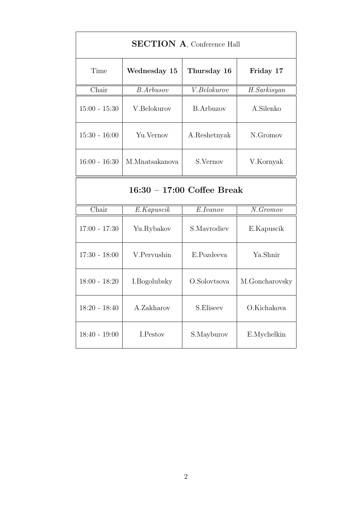| <b>SECTION A. Conference Hall</b> |                  |                  |                             |  |  |  |  |
|-----------------------------------|------------------|------------------|-----------------------------|--|--|--|--|
| Time                              | Wednesday 15     | Thursday 16      | Friday 17                   |  |  |  |  |
| Chair                             | <b>B.Arbusov</b> | V. Belowov       | H.Sarkisyan                 |  |  |  |  |
| $15:00 - 15:30$                   | V.Belokurov      | <b>B.Arbuzov</b> | A.Silenko                   |  |  |  |  |
| $15:30 - 16:00$                   | Yu. Vernov       | A.Reshetnyak     | N.Gromov                    |  |  |  |  |
| $16:00 - 16:30$                   | M.Mnatsakanova   | S.Vernov         | V.Kornyak                   |  |  |  |  |
| $16:30 - 17:00$ Coffee Break      |                  |                  |                             |  |  |  |  |
| $\overline{\text{Chair}}$         | E.Kapuscik       | E.Ivanov         | $\overline{N\ldotp Gromov}$ |  |  |  |  |
| $17:00 - 17:30$                   | Yu.Rybakov       | S.Mayrodiev      | E.Kapuscik                  |  |  |  |  |
| $17:30 - 18:00$                   | V.Pervushin      | E.Pozdeeva       | Ya.Shnir                    |  |  |  |  |
| $18:00 - 18:20$                   | I.Bogolubsky     | O.Solovtsova     | M.Goncharovsky              |  |  |  |  |
| $18:20 - 18:40$                   | A.Zakharov       | S.Eliseev        | O.Kichakova                 |  |  |  |  |
| $18:40 - 19:00$                   | I.Pestov         | S.Mayburov       | E.Mychelkin                 |  |  |  |  |